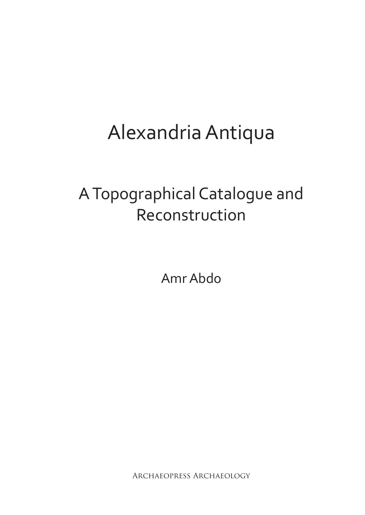# Alexandria Antiqua

## A Topographical Catalogue and Reconstruction

Amr Abdo

Archaeopress Archaeology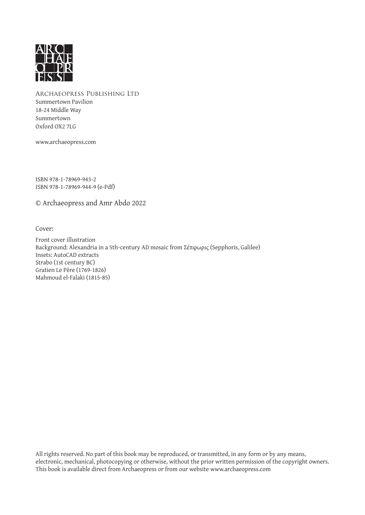

Archaeopress Publishing Ltd Summertown Pavilion 18-24 Middle Way Summertown Oxford OX2 7LG

www.archaeopress.com

ISBN 978-1-78969-943-2 ISBN 978-1-78969-944-9 (e-Pdf)

© Archaeopress and Amr Abdo 2022

Cover:

Front cover illustration Background: Alexandria in a 5th-century AD mosaic from Σέπφωρις (Sepphoris, Galilee) Insets: AutoCAD extracts Strabo (1st century BC) Gratien Le Père (1769-1826) Mahmoud el-Falaki (1815-85)

All rights reserved. No part of this book may be reproduced, or transmitted, in any form or by any means, electronic, mechanical, photocopying or otherwise, without the prior written permission of the copyright owners. This book is available direct from Archaeopress or from our website www.archaeopress.com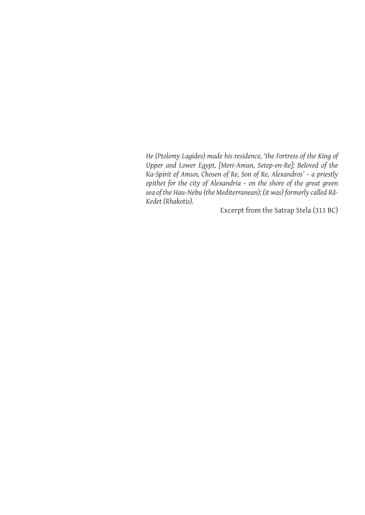*He (Ptolemy Lagides) made his residence, 'the Fortress of the King of Upper and Lower Egypt, [Meri-Amun, Setep-en-Re]: Beloved of the Ka-Spirit of Amun, Chosen of Re, Son of Re, Alexandros' – a priestly epithet for the city of Alexandria – on the shore of the great green sea of the Hau-Nebu (the Mediterranean); (it was) formerly called Râ-Kedet (Rhakotis).*

Excerpt from the Satrap Stela (311 BC)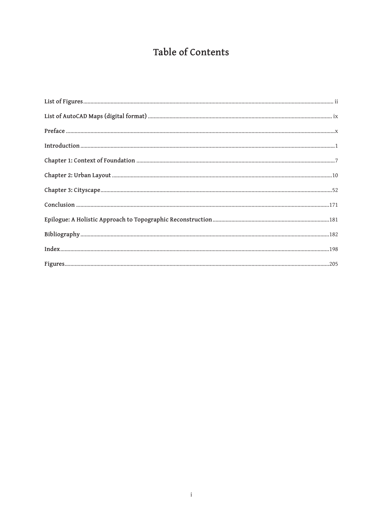### Table of Contents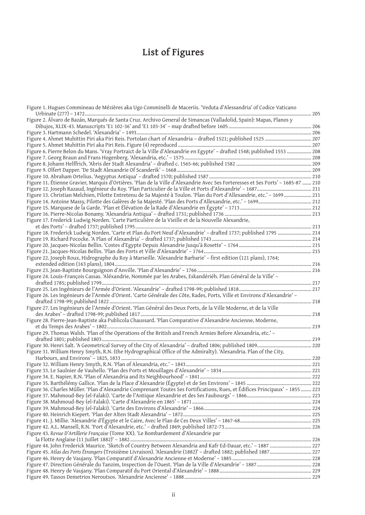## **List of Figures**

| Figure 1. Hugues Commineau de Mézières aka Ugo Comminelli de Maceriis. 'Veduta d'Alessandria' of Codice Vaticano                 |  |
|----------------------------------------------------------------------------------------------------------------------------------|--|
| Figure 2. Álvaro de Bazán, Marqués de Santa Cruz. Archivo General de Simancas (Valladolid, Spain): Mapas, Planos y               |  |
|                                                                                                                                  |  |
|                                                                                                                                  |  |
|                                                                                                                                  |  |
| Figure 6. Pierre Belon du Mans. 'Vray Portraict de la Ville d'Alexandrie en Egypte' - drafted 1548; published 1553  208          |  |
|                                                                                                                                  |  |
|                                                                                                                                  |  |
|                                                                                                                                  |  |
|                                                                                                                                  |  |
| Figure 11. Étienne Gravier, Marquis d'Ortières. 'Plan de la Ville d'Alexandrie Avec Ses Forteresses et Ses Ports' - 1685-87  210 |  |
|                                                                                                                                  |  |
| Figure 13. Christian Melchien, Pilotte Entretenu de Sa Majesté à Toulon. 'Plan du Port d'Allexandrie, etc.' - 1699  211          |  |
|                                                                                                                                  |  |
|                                                                                                                                  |  |
|                                                                                                                                  |  |
| Figure 17. Frederick Ludwig Norden. 'Carte Particulière de la Vieille et de la Nouvelle Alexandrie,                              |  |
|                                                                                                                                  |  |
| Figure 18. Frederick Ludwig Norden. 'Carte et Plan du Port Neuf d'Alexandrie' - drafted 1737; published 1795  214                |  |
|                                                                                                                                  |  |
|                                                                                                                                  |  |
|                                                                                                                                  |  |
| Figure 22. Joseph Roux, Hidrographe du Roy à Marseille. 'Alexandrie Barbarie' - first edition (121 plans), 1764;                 |  |
|                                                                                                                                  |  |
|                                                                                                                                  |  |
| Figure 24. Louis-François Cassas. 'Aléxandrie, Nommée par les Arabes, Eskandériéh. Plan Général de la Ville'-                    |  |
|                                                                                                                                  |  |
|                                                                                                                                  |  |
| Figure 26. Les Ingénieurs de l'Armée d'Orient. 'Carte Générale des Côte, Rades, Ports, Ville et Environs d'Alexandrie' -         |  |
|                                                                                                                                  |  |
| Figure 27. Les Ingénieurs de l'Armée d'Orient. 'Plan Général des Deux Ports, de la Ville Moderne, et de la Ville                 |  |
|                                                                                                                                  |  |
| Figure 28. Pierre-Jean-Baptiste aka Publicola Chaussard. 'Plan Comparative d'Alexandrie Ancienne, Moderne,                       |  |
|                                                                                                                                  |  |
| Figure 29. Thomas Walsh. 'Plan of the Operations of the British and French Armies Before Alexandria, etc.' -                     |  |
|                                                                                                                                  |  |
| Figure 31. William Henry Smyth, R.N. (the Hydrographical Office of the Admiralty). 'Alexandria. Plan of the City,                |  |
|                                                                                                                                  |  |
|                                                                                                                                  |  |
|                                                                                                                                  |  |
|                                                                                                                                  |  |
|                                                                                                                                  |  |
| Figure 36. Charles Müller. 'Plan d'Alexandrie Comprenant Toutes Ses Fortifications, Rues, et Édifices Principaux' - 1855  223    |  |
|                                                                                                                                  |  |
|                                                                                                                                  |  |
|                                                                                                                                  |  |
|                                                                                                                                  |  |
|                                                                                                                                  |  |
|                                                                                                                                  |  |
| Figure 43. Revue D'Artillerie Française (Tome XX). 'Le Bombardement d'Alexandrie par                                             |  |
|                                                                                                                                  |  |
| Figure 44. John Frederick Maurice. 'Sketch of Country Between Alexandria and Kafr Ed-Dauar, etc.' - 1887  227                    |  |
|                                                                                                                                  |  |
|                                                                                                                                  |  |
|                                                                                                                                  |  |
|                                                                                                                                  |  |
|                                                                                                                                  |  |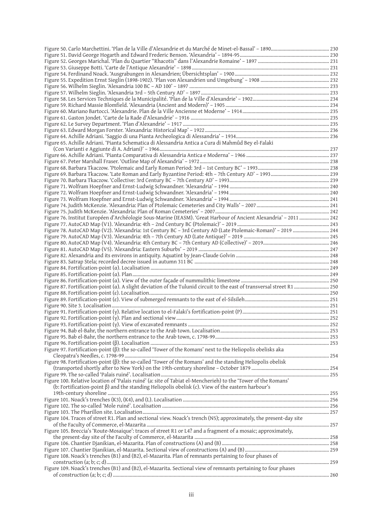| Figure 50. Carlo Marchettini. 'Plan de la Ville d'Alexandrie et du Marché de Minet-el-Bassal' – 1890………………………………………………………………………………………… |  |
|----------------------------------------------------------------------------------------------------------------------------------------|--|
|                                                                                                                                        |  |
|                                                                                                                                        |  |
|                                                                                                                                        |  |
|                                                                                                                                        |  |
|                                                                                                                                        |  |
|                                                                                                                                        |  |
|                                                                                                                                        |  |
|                                                                                                                                        |  |
|                                                                                                                                        |  |
|                                                                                                                                        |  |
|                                                                                                                                        |  |
|                                                                                                                                        |  |
|                                                                                                                                        |  |
| Figure 65. Achille Adriani. 'Pianta Schematica di Alessandria Antica a Cura di Mahmûd Bey el-Falaki                                    |  |
|                                                                                                                                        |  |
|                                                                                                                                        |  |
|                                                                                                                                        |  |
|                                                                                                                                        |  |
|                                                                                                                                        |  |
|                                                                                                                                        |  |
|                                                                                                                                        |  |
|                                                                                                                                        |  |
|                                                                                                                                        |  |
|                                                                                                                                        |  |
| Figure 76. Institut Européen d'Archéologie Sous-Marine (IEASM). 'Great Harbour of Ancient Alexandria' - 2011  242                      |  |
|                                                                                                                                        |  |
| Figure 78. AutoCAD Map (V2). 'Alexandria: 1st Century BC - 3rd Century AD (Late Ptolemaic-Roman)' - 2019  244                          |  |
|                                                                                                                                        |  |
|                                                                                                                                        |  |
|                                                                                                                                        |  |
|                                                                                                                                        |  |
|                                                                                                                                        |  |
|                                                                                                                                        |  |
|                                                                                                                                        |  |
|                                                                                                                                        |  |
|                                                                                                                                        |  |
|                                                                                                                                        |  |
|                                                                                                                                        |  |
|                                                                                                                                        |  |
|                                                                                                                                        |  |
|                                                                                                                                        |  |
|                                                                                                                                        |  |
|                                                                                                                                        |  |
| Figure 97. Fortification-point ( $\beta$ ): the so-called 'Tower of the Romans' next to the Heliopolis obelisks aka                    |  |
|                                                                                                                                        |  |
| Figure 98. Fortification-point $(\beta)$ : the so-called 'Tower of the Romans' and the standing Heliopolis obelisk                     |  |
|                                                                                                                                        |  |
|                                                                                                                                        |  |
| Figure 100. Relative location of 'Palais ruiné' (a: site of Tabiat el-Mencherieh) to the 'Tower of the Romans'                         |  |
| (b: Fortification-point $\beta$ ) and the standing Heliopolis obelisk (c). View of the eastern harbour's                               |  |
|                                                                                                                                        |  |
|                                                                                                                                        |  |
|                                                                                                                                        |  |
| Figure 104. Traces of street R1. Plan and sectional view. Noack's trench (N5); approximately, the present-day site                     |  |
|                                                                                                                                        |  |
| Figure 105. Breccia's 'Route-Mosaique': traces of street R1 or L4? and a fragment of a mosaic; approximately,                          |  |
|                                                                                                                                        |  |
|                                                                                                                                        |  |
|                                                                                                                                        |  |
| Figure 108. Noack's trenches (B1) and (B2), el-Mazarita. Plan of remnants pertaining to four phases of                                 |  |
|                                                                                                                                        |  |
| Figure 109. Noack's trenches (B1) and (B2), el-Mazarita. Sectional view of remnants pertaining to four phases                          |  |
|                                                                                                                                        |  |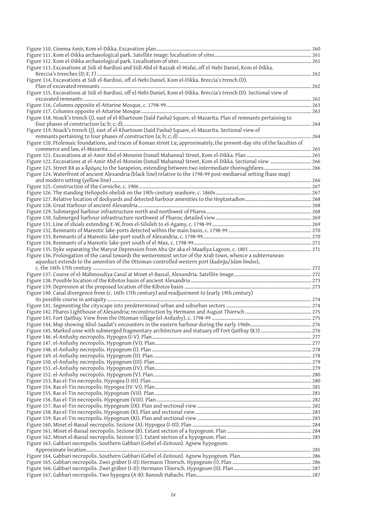| Figure 113. Excavations at Sidi el-Bardissi and Sidi Abd el-Razzak el-Wafai, off el-Nebi Daniel, Kom el-Dikka.                                                                                                   |  |
|------------------------------------------------------------------------------------------------------------------------------------------------------------------------------------------------------------------|--|
| Figure 114. Excavations at Sidi el-Bardissi, off el-Nebi Daniel, Kom el-Dikka. Breccia's trench (D).                                                                                                             |  |
|                                                                                                                                                                                                                  |  |
| Figure 115. Excavations at Sidi el-Bardissi, off el-Nebi Daniel, Kom el-Dikka. Breccia's trench (D). Sectional view of                                                                                           |  |
|                                                                                                                                                                                                                  |  |
|                                                                                                                                                                                                                  |  |
|                                                                                                                                                                                                                  |  |
| Figure 118. Noack's trench (J), east of el-Khartoum (Saīd Pasha) Square, el-Mazarita. Plan of remnants pertaining to                                                                                             |  |
|                                                                                                                                                                                                                  |  |
| Figure 119. Noack's trench (J), east of el-Khartoum (Saīd Pasha) Square, el-Mazarita. Sectional view of                                                                                                          |  |
|                                                                                                                                                                                                                  |  |
| Figure 120. Ptolemaic foundations, and traces of Roman street La; approximately, the present-day site of the faculties of                                                                                        |  |
|                                                                                                                                                                                                                  |  |
|                                                                                                                                                                                                                  |  |
| Figure 122. Excavations at el-Amir Abd el-Moneim (Ismail Mahanna) Street, Kom el-Dikka. Sectional view  266                                                                                                      |  |
| Figure 124. Waterfront of ancient Alexandria (black line) relative to the 1798-99 post-mediaeval setting (base map)                                                                                              |  |
|                                                                                                                                                                                                                  |  |
|                                                                                                                                                                                                                  |  |
|                                                                                                                                                                                                                  |  |
|                                                                                                                                                                                                                  |  |
|                                                                                                                                                                                                                  |  |
|                                                                                                                                                                                                                  |  |
|                                                                                                                                                                                                                  |  |
|                                                                                                                                                                                                                  |  |
|                                                                                                                                                                                                                  |  |
|                                                                                                                                                                                                                  |  |
|                                                                                                                                                                                                                  |  |
|                                                                                                                                                                                                                  |  |
| Figure 136. Prolongation of the canal towards the westernmost sector of the Arab town, whence a subterranean<br>aqueduct extends to the amenities of the Ottoman-controlled western port (kadırğa/Islam limânı), |  |
|                                                                                                                                                                                                                  |  |
|                                                                                                                                                                                                                  |  |
|                                                                                                                                                                                                                  |  |
|                                                                                                                                                                                                                  |  |
| Figure 140. Canal divergence from (c. 16th-17th century) and readjustment to (early 19th century)                                                                                                                |  |
|                                                                                                                                                                                                                  |  |
|                                                                                                                                                                                                                  |  |
|                                                                                                                                                                                                                  |  |
|                                                                                                                                                                                                                  |  |
|                                                                                                                                                                                                                  |  |
|                                                                                                                                                                                                                  |  |
|                                                                                                                                                                                                                  |  |
|                                                                                                                                                                                                                  |  |
|                                                                                                                                                                                                                  |  |
|                                                                                                                                                                                                                  |  |
|                                                                                                                                                                                                                  |  |
|                                                                                                                                                                                                                  |  |
|                                                                                                                                                                                                                  |  |
|                                                                                                                                                                                                                  |  |
|                                                                                                                                                                                                                  |  |
|                                                                                                                                                                                                                  |  |
|                                                                                                                                                                                                                  |  |
|                                                                                                                                                                                                                  |  |
|                                                                                                                                                                                                                  |  |
|                                                                                                                                                                                                                  |  |
|                                                                                                                                                                                                                  |  |
| Figure 163. Gabbari necropolis. Southern Gabbari (Gebel el-Zeitoun). Agnew hypogeum.                                                                                                                             |  |
|                                                                                                                                                                                                                  |  |
|                                                                                                                                                                                                                  |  |
|                                                                                                                                                                                                                  |  |
|                                                                                                                                                                                                                  |  |
|                                                                                                                                                                                                                  |  |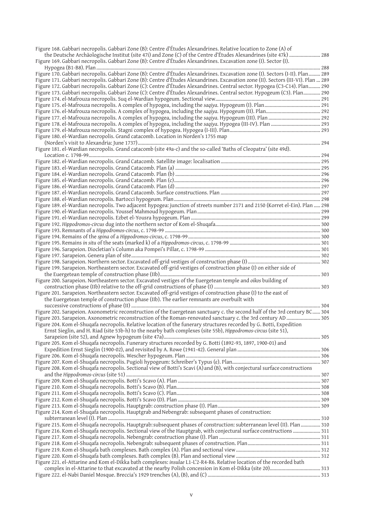| Figure 168. Gabbari necropolis. Gabbari Zone (B): Centre d'Études Alexandrines. Relative location to Zone (A) of                                                                                                                                      |  |
|-------------------------------------------------------------------------------------------------------------------------------------------------------------------------------------------------------------------------------------------------------|--|
| the Deutsche Archäologische Institut (site 47i) and Zone (C) of the Centre d'Études Alexandrines (site 47k)  288                                                                                                                                      |  |
| Figure 169. Gabbari necropolis. Gabbari Zone (B): Centre d'Études Alexandrines. Excavation zone (I). Sector (I).                                                                                                                                      |  |
|                                                                                                                                                                                                                                                       |  |
| Figure 170. Gabbari necropolis. Gabbari Zone (B): Centre d'Études Alexandrines. Excavation zone (I). Sectors (I-II). Plan 289                                                                                                                         |  |
| Figure 171. Gabbari necropolis. Gabbari Zone (B): Centre d'Études Alexandrines. Excavation zone (II). Sectors (III-VI). Plan  289                                                                                                                     |  |
| Figure 172. Gabbari necropolis. Gabbari Zone (C): Centre d'Études Alexandrines. Central sector. Hypogea (C3-C14). Plan 290<br>Figure 173. Gabbari necropolis. Gabbari Zone (C): Centre d'Études Alexandrines. Central sector. Hypogeum (C3). Plan 290 |  |
|                                                                                                                                                                                                                                                       |  |
|                                                                                                                                                                                                                                                       |  |
|                                                                                                                                                                                                                                                       |  |
|                                                                                                                                                                                                                                                       |  |
| Figure 178. el-Mafrouza necropolis. A complex of hypogea, including the saqiya. Hypogea (III-IV). Plan  293                                                                                                                                           |  |
|                                                                                                                                                                                                                                                       |  |
| Figure 180. el-Wardian necropolis. Grand catacomb. Location in Norden's 1755 map                                                                                                                                                                      |  |
|                                                                                                                                                                                                                                                       |  |
| Figure 181. el-Wardian necropolis. Grand catacomb (site 49a-c) and the so-called 'Baths of Cleopatra' (site 49d).                                                                                                                                     |  |
|                                                                                                                                                                                                                                                       |  |
|                                                                                                                                                                                                                                                       |  |
|                                                                                                                                                                                                                                                       |  |
|                                                                                                                                                                                                                                                       |  |
|                                                                                                                                                                                                                                                       |  |
|                                                                                                                                                                                                                                                       |  |
|                                                                                                                                                                                                                                                       |  |
|                                                                                                                                                                                                                                                       |  |
|                                                                                                                                                                                                                                                       |  |
|                                                                                                                                                                                                                                                       |  |
|                                                                                                                                                                                                                                                       |  |
|                                                                                                                                                                                                                                                       |  |
|                                                                                                                                                                                                                                                       |  |
|                                                                                                                                                                                                                                                       |  |
|                                                                                                                                                                                                                                                       |  |
|                                                                                                                                                                                                                                                       |  |
| Figure 199. Sarapeion. Northeastern sector. Excavated off-grid vestiges of construction phase (I) on either side of                                                                                                                                   |  |
|                                                                                                                                                                                                                                                       |  |
| Figure 200. Sarapeion. Northeastern sector. Excavated vestiges of the Euergetean temple and oikos building of                                                                                                                                         |  |
|                                                                                                                                                                                                                                                       |  |
| Figure 201. Sarapeion. Northeastern sector. Excavated off-grid vestiges of construction phase (I) to the east of                                                                                                                                      |  |
| the Euergetean temple of construction phase (IIb). The earlier remnants are overbuilt with                                                                                                                                                            |  |
|                                                                                                                                                                                                                                                       |  |
| Figure 202. Sarapeion. Axonometric reconstruction of the Euergetean sanctuary c. the second half of the 3rd century BC 304                                                                                                                            |  |
| Figure 203. Sarapeion. Axonometric reconstruction of the Roman-renovated sanctuary c. the 3rd century AD  305                                                                                                                                         |  |
| Figure 204. Kom el-Shuqafa necropolis. Relative location of the funerary structures recorded by G. Botti, Expedition                                                                                                                                  |  |
| Ernst Sieglin, and H. Riad (site 53b-h) to the nearby bath complexes (site 55b), Hippodromos-circus (site 51),                                                                                                                                        |  |
| Figure 205. Kom el-Shuqafa necropolis. Funerary structures recorded by G. Botti (1892-93, 1897, 1900-01) and                                                                                                                                          |  |
|                                                                                                                                                                                                                                                       |  |
|                                                                                                                                                                                                                                                       |  |
|                                                                                                                                                                                                                                                       |  |
| Figure 208. Kom el-Shuqafa necropolis. Sectional view of Botti's Scavi (A) and (B), with conjectural surface constructions                                                                                                                            |  |
|                                                                                                                                                                                                                                                       |  |
|                                                                                                                                                                                                                                                       |  |
|                                                                                                                                                                                                                                                       |  |
|                                                                                                                                                                                                                                                       |  |
|                                                                                                                                                                                                                                                       |  |
|                                                                                                                                                                                                                                                       |  |
| Figure 214. Kom el-Shuqafa necropolis. Hauptgrab and Nebengrab: subsequent phases of construction:                                                                                                                                                    |  |
| Figure 215. Kom el-Shuqafa necropolis. Hauptgrab: subsequent phases of construction: subterranean level (II). Plan  310                                                                                                                               |  |
| Figure 216. Kom el-Shuqafa necropolis. Sectional view of the Hauptgrab, with conjectural surface constructions  311                                                                                                                                   |  |
|                                                                                                                                                                                                                                                       |  |
|                                                                                                                                                                                                                                                       |  |
|                                                                                                                                                                                                                                                       |  |
|                                                                                                                                                                                                                                                       |  |
| Figure 221. el-Attarine and Kom el-Dikka bath complexes: insulae L1-L'2-R4-R6. Relative location of the recorded bath                                                                                                                                 |  |
|                                                                                                                                                                                                                                                       |  |
|                                                                                                                                                                                                                                                       |  |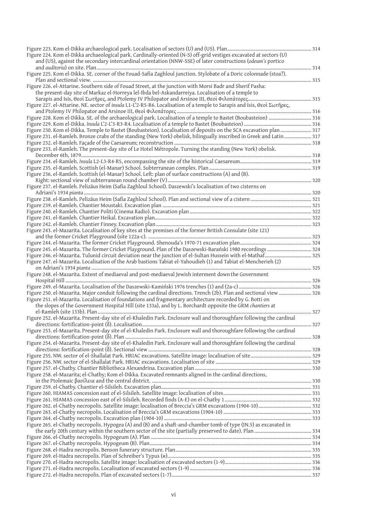| Figure 224. Kom el-Dikka archaeological park. Cardinally-oriented (N-S) off-grid vestiges excavated at sectors (U)      |  |
|-------------------------------------------------------------------------------------------------------------------------|--|
| and (US), against the secondary intercardinal orientation (NNW-SSE) of later constructions (odeum's portico             |  |
|                                                                                                                         |  |
| Figure 225. Kom el-Dikka. SE. corner of the Fouad-Safia Zaghloul junction. Stylobate of a Doric colonnade (stoa?).      |  |
|                                                                                                                         |  |
| Figure 226. el-Attarine. Southern side of Fouad Street, at the junction with Morsi Badr and Sherif Pasha:               |  |
| the present-day site of Markaz el-Horreya lel-Ibda bel-Askandarreiya. Localisation of a temple to                       |  |
|                                                                                                                         |  |
| Figure 227. el-Attarine. NE. sector of insula L1-L'2-R5-R6. Localisation of a temple to Sarapis and Isis, Θεοὶ Σωτῆρες, |  |
|                                                                                                                         |  |
| Figure 228. Kom el-Dikka. SE. of the archaeological park. Localisation of a temple to Bastet (Boubasteion)  316         |  |
|                                                                                                                         |  |
|                                                                                                                         |  |
| Figure 230. Kom el-Dikka. Temple to Bastet (Boubasteion). Localisation of deposits on the SCA excavation plan 317       |  |
| Figure 231. el-Ramleh. Bronze crabs of the standing (New York) obelisk, bilingually inscribed in Greek and Latin  317   |  |
|                                                                                                                         |  |
| Figure 233. el-Ramleh. The present-day site of Le Hotel Métropole. Turning the standing (New York) obelisk.             |  |
|                                                                                                                         |  |
|                                                                                                                         |  |
|                                                                                                                         |  |
| Figure 236. el-Ramleh. Scottish (el-Manar) School. Left: plan of surface constructions (A) and (B).                     |  |
|                                                                                                                         |  |
| Figure 237. el-Ramleh. Pelizäus Heim (Safia Zaghloul School). Daszewski's localisation of two cisterns on               |  |
|                                                                                                                         |  |
|                                                                                                                         |  |
|                                                                                                                         |  |
|                                                                                                                         |  |
|                                                                                                                         |  |
|                                                                                                                         |  |
| Figure 243. el-Mazarita. Localisation of key sites at the premises of the former British Consulate (site 121)           |  |
|                                                                                                                         |  |
|                                                                                                                         |  |
| Figure 245. el-Mazarita. The former Cricket Playground. Plan of the Daszewski-Barański 1980 recordings  324             |  |
|                                                                                                                         |  |
| Figure 247. el-Mazarita. Localisation of the Arab bastions Tabiat el-Yahoudieh (1) and Tabiat el-Mencherieh (2)         |  |
|                                                                                                                         |  |
| Figure 248. el-Mazarita. Extent of mediaeval and post-mediaeval Jewish interment down the Government                    |  |
|                                                                                                                         |  |
|                                                                                                                         |  |
|                                                                                                                         |  |
|                                                                                                                         |  |
| Figure 251. el-Mazarita. Localisation of foundations and fragmentary architecture recorded by G. Botti on               |  |
| the slopes of the Government Hospital Hill (site 133a), and by L. Borchardt opposite the GRM chantiers at               |  |
|                                                                                                                         |  |
| Figure 252. el-Mazarita. Present-day site of el-Khaledin Park. Enclosure wall and thoroughfare following the cardinal   |  |
|                                                                                                                         |  |
|                                                                                                                         |  |
| Figure 253. el-Mazarita. Present-day site of el-Khaledin Park. Enclosure wall and thoroughfare following the cardinal   |  |
|                                                                                                                         |  |
|                                                                                                                         |  |
| Figure 254. el-Mazarita. Present-day site of el-Khaledin Park. Enclosure wall and thoroughfare following the cardinal   |  |
|                                                                                                                         |  |
|                                                                                                                         |  |
|                                                                                                                         |  |
|                                                                                                                         |  |
| Figure 258. el-Mazarita; el-Chatby; Kom el-Dikka. Excavated remnants aligned in the cardinal directions,                |  |
|                                                                                                                         |  |
|                                                                                                                         |  |
|                                                                                                                         |  |
|                                                                                                                         |  |
|                                                                                                                         |  |
|                                                                                                                         |  |
|                                                                                                                         |  |
| Figure 265. el-Chatby necropolis. Hypogea (A) and (B) and a shaft-and-chamber tomb of type (IN.5) as excavated in       |  |
|                                                                                                                         |  |
|                                                                                                                         |  |
|                                                                                                                         |  |
|                                                                                                                         |  |
|                                                                                                                         |  |
|                                                                                                                         |  |
|                                                                                                                         |  |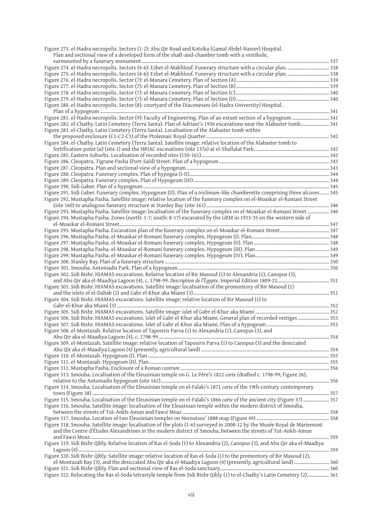| Figure 273. el-Hadra necropolis. Sectors (1-2): Abu Qir Road and Kotsika (Gamal Abdel-Nasser) Hospital.                        |  |
|--------------------------------------------------------------------------------------------------------------------------------|--|
| Plan and sectional view of a developed form of the shaft-and-chamber tomb with a vestibule,                                    |  |
|                                                                                                                                |  |
| Figure 274. el-Hadra necropolis. Sectors (4-6): Ezbet el-Makhlouf. Funerary structure with a circular plan. 338                |  |
| Figure 275. el-Hadra necropolis. Sectors (4-6): Ezbet el-Makhlouf. Funerary structure with a circular plan.  338               |  |
|                                                                                                                                |  |
|                                                                                                                                |  |
|                                                                                                                                |  |
|                                                                                                                                |  |
| Figure 280. el-Hadra necropolis. Sector (8): courtyard of the Diaconesses (el-Hadra University) Hospital.                      |  |
|                                                                                                                                |  |
| Figure 281. el-Hadra necropolis. Sector (9): Faculty of Engineering. Plan of an extant section of a hypogeum 341               |  |
| Figure 282. el-Chatby. Latin Cemetery (Terra Santa). Plan of Adriani's 1936 excavations near the Alabaster tomb 341            |  |
| Figure 283. el-Chatby. Latin Cemetery (Terra Santa). Localisation of the Alabaster tomb within                                 |  |
|                                                                                                                                |  |
| Figure 284. el-Chatby. Latin Cemetery (Terra Santa). Satellite image: relative location of the Alabaster tomb to               |  |
|                                                                                                                                |  |
|                                                                                                                                |  |
|                                                                                                                                |  |
|                                                                                                                                |  |
|                                                                                                                                |  |
|                                                                                                                                |  |
|                                                                                                                                |  |
| Figure 291. Sidi Gaber. Funerary complex. Hypogeum (II). Plan of a triclinium-like chamberette comprising three alcoves 345    |  |
| Figure 292. Mustapha Pasha. Satellite image: relative location of the funerary complex on el-Moaskar el-Romani Street          |  |
|                                                                                                                                |  |
| Figure 293. Mustapha Pasha. Satellite image: localisation of the funerary complex on el-Moaskar el-Romani Street  346          |  |
| Figure 294. Mustapha Pasha. Zones (north: 1-7; south: 8-17) excavated by the GRM in 1933-35 on the western side of             |  |
|                                                                                                                                |  |
|                                                                                                                                |  |
|                                                                                                                                |  |
|                                                                                                                                |  |
|                                                                                                                                |  |
|                                                                                                                                |  |
|                                                                                                                                |  |
|                                                                                                                                |  |
| Figure 302. Sidi Bishr. HIAMAS excavations. Relative location of Bir Masoud (1) to Alexandria (2), Canopus (3),                |  |
|                                                                                                                                |  |
|                                                                                                                                |  |
| Figure 303. Sidi Bishr. HIAMAS excavations. Satellite image: localisation of the promontory of Bir Masoud (1)                  |  |
|                                                                                                                                |  |
| Figure 304. Sidi Bishr. HIAMAS excavations. Satellite image: relative location of Bir Masoud (1) to                            |  |
|                                                                                                                                |  |
|                                                                                                                                |  |
| Figure 306. Sidi Bishr. HIAMAS excavations. Islet of Gabr el-Khur aka Miami. General plan of recorded vestiges  353            |  |
|                                                                                                                                |  |
| Figure 308. el-Montazah. Relative location of Taposiris Parva (1) to Alexandria (2), Canopus (3), and                          |  |
|                                                                                                                                |  |
| Figure 309. el-Montazah. Satellite image: relative location of Taposiris Parva (1) to Canopus (3) and the desiccated           |  |
|                                                                                                                                |  |
|                                                                                                                                |  |
|                                                                                                                                |  |
|                                                                                                                                |  |
| Figure 313. Smouha. Localisation of the Eleusinian temple on G. Le Père's 1822 carte (drafted c. 1798-99; Figure 26),          |  |
|                                                                                                                                |  |
| Figure 314. Smouha. Localisation of the Eleusinian temple on el-Falaki's 1871 carte of the 19th-century contemporary           |  |
|                                                                                                                                |  |
| 757  (Figure 315. Smouha. Localisation of the Eleusinian temple on el-Falaki's 1866 carte of the ancient city (Figure 37)  357 |  |
| Figure 316. Smouha. Satellite image: localisation of the Eleusinian temple within the modern district of Smouha,               |  |
|                                                                                                                                |  |
|                                                                                                                                |  |
| Figure 318. Smouha. Satellite image: localisation of the plots (1-6) surveyed in 2008-12 by the Musée Royal de Mariemont       |  |
| and the Centre d'Études Alexandrines in the modern district of Smouha, between the streets of Tut-Ankh-Amun                    |  |
|                                                                                                                                |  |
| Figure 319. Sidi Bishr Qibly. Relative location of Ras el-Soda (1) to Alexandria (2), Canopus (3), and Abu Qir aka el-Maadiya  |  |
|                                                                                                                                |  |
|                                                                                                                                |  |
| Figure 320. Sidi Bishr Qibly. Satellite image: relative location of Ras el-Soda (1) to the promontory of Bir Masoud (2),       |  |
| el-Montazah Bay (3), and the desiccated Abu Qir aka el-Maadiya Lagoon (4) (presently, agricultural land)  360                  |  |
|                                                                                                                                |  |
| Figure 322. Relocating the Ras el-Soda tetrastyle temple from Sidi Bishr Qibly (1) to el-Chatby's Latin Cemetery (2) 361       |  |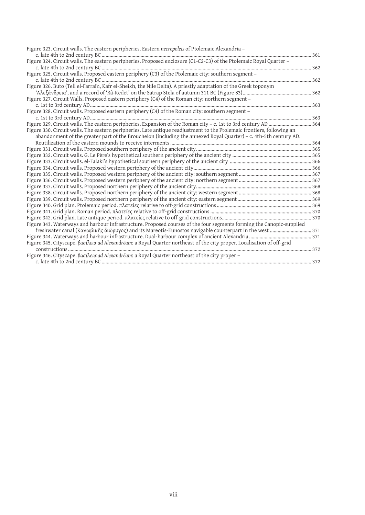| Figure 323. Circuit walls. The eastern peripheries. Eastern necropoleis of Ptolemaic Alexandria -                      |  |
|------------------------------------------------------------------------------------------------------------------------|--|
|                                                                                                                        |  |
| Figure 324. Circuit walls. The eastern peripheries. Proposed enclosure (C1-C2-C3) of the Ptolemaic Royal Quarter -     |  |
|                                                                                                                        |  |
| Figure 325. Circuit walls. Proposed eastern periphery (C3) of the Ptolemaic city: southern segment -                   |  |
|                                                                                                                        |  |
| Figure 326. Buto (Tell el-Farrain, Kafr el-Sheikh, the Nile Delta). A priestly adaptation of the Greek toponym         |  |
|                                                                                                                        |  |
| Figure 327. Circuit Walls. Proposed eastern periphery (C4) of the Roman city: northern segment -                       |  |
|                                                                                                                        |  |
| Figure 328. Circuit walls. Proposed eastern periphery (C4) of the Roman city: southern segment -                       |  |
|                                                                                                                        |  |
|                                                                                                                        |  |
| Figure 330. Circuit walls. The eastern peripheries. Late antique readjustment to the Ptolemaic frontiers, following an |  |
| abandonment of the greater part of the Broucheion (including the annexed Royal Quarter) - c. 4th-5th century AD.       |  |
|                                                                                                                        |  |
|                                                                                                                        |  |
|                                                                                                                        |  |
|                                                                                                                        |  |
|                                                                                                                        |  |
|                                                                                                                        |  |
|                                                                                                                        |  |
|                                                                                                                        |  |
|                                                                                                                        |  |
|                                                                                                                        |  |
|                                                                                                                        |  |
|                                                                                                                        |  |
|                                                                                                                        |  |
| Figure 343. Waterways and harbour infrastructure. Proposed courses of the four segments forming the Canopic-supplied   |  |
|                                                                                                                        |  |
|                                                                                                                        |  |
| Figure 345. Cityscape. βασίλεια ad Alexandrēam: a Royal Quarter northeast of the city proper. Localisation of off-grid |  |
|                                                                                                                        |  |
| Figure 346. Cityscape. βασίλεια ad Alexandrēam: a Royal Quarter northeast of the city proper -                         |  |
|                                                                                                                        |  |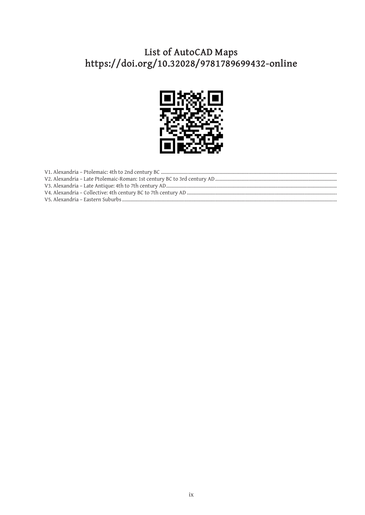# List of AutoCAD Maps<br>https://doi.org/10.32028/9781789699432-online

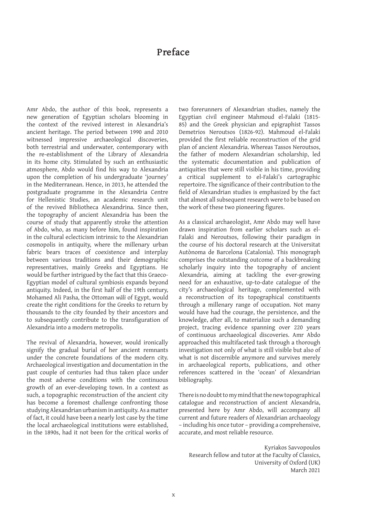#### **Preface**

Amr Abdo, the author of this book, represents a new generation of Egyptian scholars blooming in the context of the revived interest in Alexandria's ancient heritage. The period between 1990 and 2010 witnessed impressive archaeological discoveries, both terrestrial and underwater, contemporary with the re-establishment of the Library of Alexandria in its home city. Stimulated by such an enthusiastic atmosphere, Abdo would find his way to Alexandria upon the completion of his undergraduate 'journey' in the Mediterranean. Hence, in 2013, he attended the postgraduate programme in the Alexandria Centre for Hellenistic Studies, an academic research unit of the revived Bibliotheca Alexandrina. Since then, the topography of ancient Alexandria has been the course of study that apparently stroke the attention of Abdo, who, as many before him, found inspiration in the cultural eclecticism intrinsic to the Alexandrian cosmopolis in antiquity, where the millenary urban fabric bears traces of coexistence and interplay between various traditions and their demographic representatives, mainly Greeks and Egyptians. He would be further intrigued by the fact that this Graeco-Egyptian model of cultural symbiosis expands beyond antiquity. Indeed, in the first half of the 19th century, Mohamed Ali Pasha, the Ottoman wali of Egypt, would create the right conditions for the Greeks to return by thousands to the city founded by their ancestors and to subsequently contribute to the transfiguration of Alexandria into a modern metropolis.

The revival of Alexandria, however, would ironically signify the gradual burial of her ancient remnants under the concrete foundations of the modern city. Archaeological investigation and documentation in the past couple of centuries had thus taken place under the most adverse conditions with the continuous growth of an ever-developing town. In a context as such, a topographic reconstruction of the ancient city has become a foremost challenge confronting those studying Alexandrian urbanism in antiquity. As a matter of fact, it could have been a nearly lost case by the time the local archaeological institutions were established, in the 1890s, had it not been for the critical works of two forerunners of Alexandrian studies, namely the Egyptian civil engineer Mahmoud el-Falaki (1815- 85) and the Greek physician and epigraphist Tassos Demetrios Neroutsos (1826-92). Mahmoud el-Falaki provided the first reliable reconstruction of the grid plan of ancient Alexandria. Whereas Tassos Neroutsos, the father of modern Alexandrian scholarship, led the systematic documentation and publication of antiquities that were still visible in his time, providing a critical supplement to el-Falaki's cartographic repertoire. The significance of their contribution to the field of Alexandrian studies is emphasized by the fact that almost all subsequent research were to be based on the work of these two pioneering figures.

As a classical archaeologist, Amr Abdo may well have drawn inspiration from earlier scholars such as el-Falaki and Neroutsos, following their paradigm in the course of his doctoral research at the Universitat Autònoma de Barcelona (Catalonia). This monograph comprises the outstanding outcome of a backbreaking scholarly inquiry into the topography of ancient Alexandria, aiming at tackling the ever-growing need for an exhaustive, up-to-date catalogue of the city's archaeological heritage, complemented with a reconstruction of its topographical constituents through a millenary range of occupation. Not many would have had the courage, the persistence, and the knowledge, after all, to materialize such a demanding project, tracing evidence spanning over 220 years of continuous archaeological discoveries. Amr Abdo approached this multifaceted task through a thorough investigation not only of what is still visible but also of what is not discernible anymore and survives merely in archaeological reports, publications, and other references scattered in the 'ocean' of Alexandrian bibliography.

There is no doubt to my mind that the new topographical catalogue and reconstruction of ancient Alexandria, presented here by Amr Abdo, will accompany all current and future readers of Alexandrian archaeology – including his once tutor – providing a comprehensive, accurate, and most reliable resource.

Kyriakos Savvopoulos Research fellow and tutor at the Faculty of Classics, University of Oxford (UK) March 2021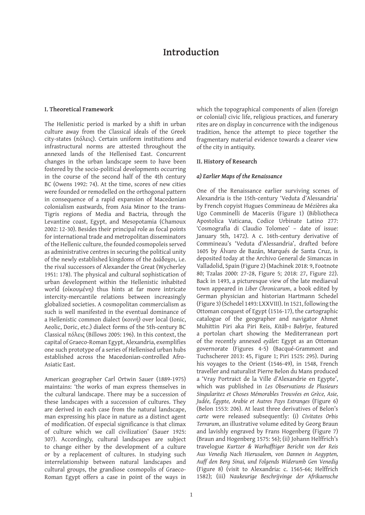#### **Introduction**

#### **I. Theoretical Framework**

The Hellenistic period is marked by a shift in urban culture away from the Classical ideals of the Greek city-states (πಯλεις). Certain uniform institutions and infrastructural norms are attested throughout the annexed lands of the Hellenised East. Concurrent changes in the urban landscape seem to have been fostered by the socio-political developments occurring in the course of the second half of the 4th century BC (Owens 1992: 74). At the time, scores of new cities were founded or remodelled on the orthogonal pattern in consequence of a rapid expansion of Macedonian colonialism eastwards, from Asia Minor to the trans-Tigris regions of Media and Bactria, through the Levantine coast, Egypt, and Mesopotamia (Chamoux 2002: 12-30). Besides their principal role as focal points for international trade and metropolitan disseminators of the Hellenic culture, the founded cosmopoleis served as administrative centres in securing the political unity of the newly established kingdoms of the Διάδοχοι, i.e. the rival successors of Alexander the Great (Wycherley 1951: 178). The physical and cultural sophistication of urban development within the Hellenistic inhabited world (οίκουμένη) thus hints at far more intricate intercity-mercantile relations between increasingly globalized societies. A cosmopolitan commercialism as such is well manifested in the eventual dominance of a Hellenistic common dialect (κοινή) over local (Ionic, Aeolic, Doric, etc.) dialect forms of the 5th-century BC Classical πόλεις (Billows 2005: 196). In this context, the capital of Graeco-Roman Egypt, Alexandria, exemplifies one such prototype of a series of Hellenised urban hubs established across the Macedonian-controlled Afro-Asiatic East.

American geographer Carl Ortwin Sauer (1889-1975) maintains: 'the works of man express themselves in the cultural landscape. There may be a succession of these landscapes with a succession of cultures. They are derived in each case from the natural landscape, man expressing his place in nature as a distinct agent of modification. Of especial significance is that climax of culture which we call civilization' (Sauer 1925: 307). Accordingly, cultural landscapes are subject to change either by the development of a culture or by a replacement of cultures. In studying such interrelationship between natural landscapes and cultural groups, the grandiose cosmopolis of Graeco-Roman Egypt offers a case in point of the ways in

which the topographical components of alien (foreign or colonial) civic life, religious practices, and funerary rites are on display in concurrence with the indigenous tradition, hence the attempt to piece together the fragmentary material evidence towards a clearer view of the city in antiquity.

#### **II. History of Research**

#### *a) Earlier Maps of the Renaissance*

One of the Renaissance earlier surviving scenes of Alexandria is the 15th-century 'Veduta d'Alessandria' by French copyist Hugues Commineau de Mézières aka Ugo Comminelli de Maceriis (Figure 1) (Bibliotheca Apostolica Vaticana, Codice Urbinate Latino 277: 'Cosmografia di Claudio Tolomeo' – date of issue: January 5th, 1472). A c. 16th-century derivative of Commineau's 'Veduta d'Alessandria', drafted before 1605 by Álvaro de Bazán, Marqués de Santa Cruz, is deposited today at the Archivo General de Simancas in Valladolid, Spain (Figure 2) (Machinek 2018: 9, Footnote 80; Tzalas 2000: 27-28, Figure 5; 2018: 27, Figure 22). Back in 1493, a picturesque view of the late mediaeval town appeared in *Liber Chronicarum*, a book edited by German physician and historian Hartmann Schedel (Figure 3) (Schedel 1493: LXXVIII). In 1521, following the Ottoman conquest of Egypt (1516-17), the cartographic catalogue of the geographer and navigator Ahmet Muhittin Piri aka Piri Reis, *Kitāb-ı Bahrīye*, featured a portolan chart showing the Mediterranean port of the recently annexed *eyalet*: Egypt as an Ottoman governorate (Figures 4-5) (Bacqué-Grammont and Tuchscherer 2013: 45, Figure 1; Piri 1525: 295). During his voyages to the Orient (1546-49), in 1548, French traveller and naturalist Pierre Belon du Mans produced a 'Vray Portraict de la Ville d'Alexandrie en Egypte', which was published in *Les Observations de Plusieurs Singularitez et Choses Mémorables Trouvées en Grèce, Asie, Judée, Égypte, Arabie et Autres Pays Estranges* (Figure 6) (Belon 1553: 206). At least three derivatives of Belon's *carte* were released subsequently: (i) *Civitates Orbis Terrarum*, an illustrative volume edited by Georg Braun and lavishly engraved by Frans Hogenberg (Figure 7) (Braun and Hogenberg 1575: 56); (ii) Johann Helffrich's travelogue *Kurtzer & Warhafftiger Bericht von der Reis Aus Venedig Nach Hierusalem, von Dannen in Aegypten, Auff den Berg Sinai, und Folgends Widerumb Gen Venedig* (Figure 8) (visit to Alexandria: c. 1565-66; Helffrich 1582); (iii) *Naukeurige Beschrijvinge der Afrikaensche*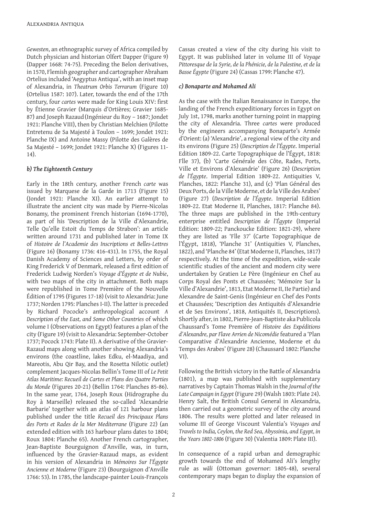*Gewesten*, an ethnographic survey of Africa compiled by Dutch physician and historian Olfert Dapper (Figure 9) (Dapper 1668: 74-75). Preceding the Belon derivatives, in 150, Flemish geographer and cartographer Abraham Ortelius included 'Aegyptus Antiqua', with an inset map of Alexandria, in *Theatrum Orbis Terrarum* (Figure 10) (Ortelius 1587: 107). Later, towards the end of the 17th century, four *cartes* were made for King Louis XIV: first by Étienne Gravier (Marquis d'Ortières; Gravier 1685-87) and Joseph Razaud (Ingénieur du Roy – 1687; Jondet 1921: Planche VIII), then by Christian Melchien (Pilotte Entretenu de Sa Majesté à Toulon - 1699; Jondet 1921: Planche IX) and Antoine Massy (Pilotte des Galères de Sa Majesté – 1699; Jondet 1921: Planche X) (Figures 11- 14).

#### *b) The Eighteenth Century*

Early in the 18th century, another French *carte* was issued by Marquese de la Garde in 1713 (Figure 15) (Jondet 1921: Planche XI). An earlier attempt to illustrate the ancient city was made by Pierre-Nicolas Bonamy, the prominent French historian (1694-1770), as part of his 'Description de la Ville d'Alexandrie, Telle Qu'elle Estoit du Temps de Strabon': an article written around 1731 and published later in Tome IX of *Histoire de l'Academie des Inscriptions et Belles-Lettres* (Figure 16) (Bonamy 1736: 416-431). In 1755, the Royal Danish Academy of Sciences and Letters, by order of King Frederick V of Denmark, released a first edition of Frederick Ludwig Norden's *Voyage d'Égypte et de Nubie*, with two maps of the city in attachment. Both maps were republished in Tome Première of the Nouvelle Édition of 1795 (Figures 17-18) (visit to Alexandria: June 1737; Norden 1795: Planches I-II). The latter is preceded by Richard Pococke's anthropological account *A Description of the East, and Some Other Countries* of which volume I (Observations on Egypt) features a plan of the city (Figure 19) (visit to Alexandria: September-October 1737; Pocock 1743: Plate II). A derivative of the Gravier-Razaud maps along with another showing Alexandria's environs (the coastline, lakes Edku, el-Maadiya, and Mareotis, Abu Qir Bay, and the Rosetta Nilotic outlet) complement Jacques-Nicolas Bellin's Tome III of *Le Petit Atlas Maritime: Recueil de Cartes et Plans des Quatre Parties du Monde* (Figures 20-21) (Bellin 1764: Planches 85-86). In the same year, 1764, Joseph Roux (Hidrographe du Roy à Marseille) released the so-called 'Alexandrie Barbarie' together with an atlas of 121 harbour plans published under the title *Recueil des Principaux Plans des Ports et Rades de la Mer Mediterrane* (Figure 22) (an extended edition with 163 harbour plans dates to 1804; Roux 1804: Planche 65). Another French cartographer, Jean-Baptiste Bourguignon d'Anville, was, in turn, influenced by the Gravier-Razaud maps, as evident in his version of Alexandria in *Mémoires Sur l'Égypte Ancienne et Moderne* (Figure 23) (Bourguignon d'Anville 1766: 53). In 1785, the landscape-painter Louis-François

Cassas created a view of the city during his visit to Egypt. It was published later in volume III of *Voyage Pittoresque de la Syrie, de la Phénicie, de la Palestine, et de la Basse Égypte* (Figure 24) (Cassas 1799: Planche 47).

#### *c) Bonaparte and Mohamed Ali*

As the case with the Italian Renaissance in Europe, the landing of the French expeditionary forces in Egypt on July 1st, 1798, marks another turning point in mapping the city of Alexandria. Three *cartes* were produced by the engineers accompanying Bonaparte's Armée d'2rient: (a) 'Alexandrie', a regional view of the city and its environs (Figure 25) (*Description de l'Égypte*. Imperial Edition 1809-22. Carte Topographique de l'Égypt, 1818: Flle 37), (b) 'Carte Générale des Côte, Rades, Ports, Ville et Environs d'Alexandrie' (Figure 26) (*Description de l'Égypte*. Imperial Edition 1809-22. Antiquities V, Planches, 1822: Planche 31), and (c) 'Plan Général des Deux Ports, de la Ville Moderne, et de la Ville des Arabes' (Figure 27) (*Description de l'Égypte*. Imperial Edition 1809-22. Etat Moderne II, Planches, 1817: Planche 84). The three maps are published in the 19th-century enterprise entitled *Description de l'Égypte* (Imperial Edition: 1809-22; Panckoucke Edition: 1821-29), where they are listed as 'Flle 37' (Carte Topographique de l'Égypt, 1818), 'Planche 31' (Antiquities V, Planches, 1822), and 'Planche 84' (Etat Moderne II, Planches, 1817) respectively. At the time of the expedition, wide-scale scientific studies of the ancient and modern city were undertaken by Gratien Le Père (Ingénieur en Chef au Corps Royal des Ponts et Chaussées; 'Mémoire Sur la Ville d'Alexandrie', 1813, Etat Moderne II, IIe Partie) and Alexandre de Saint-Genis (Ingénieur en Chef des Ponts et Chaussées; 'Description des Antiquités d'Alexandrie et de Ses Environs', 1818, Antiquités II, Descriptions). Shortly after, in 1802, Pierre-Jean-Baptiste aka Publicola Chaussard's Tome Première of *Histoire des Expéditions d'Alexandre, par Flave Arrien de Nicomédie* featured a 'Plan Comparative d'Alexandrie Ancienne, Moderne et du Temps des Arabes' (Figure 28) (Chaussard 1802: Planche VI).

Following the British victory in the Battle of Alexandria (1801), a map was published with supplementary narratives by Captain Thomas Walsh in the *Journal of the Late Campaign in Egypt* (Figure 29) (Walsh 1803: Plate 24). Henry Salt, the British Consul General in Alexandria, then carried out a geometric survey of the city around 1806. The results were plotted and later released in volume III of George Viscount Valentia's *Voyages and Travels to India, Ceylon, the Red Sea, Abyssinia, and Egypt, in the Years 1802-1806* (Figure 30) (Valentia 1809: Plate III).

In consequence of a rapid urban and demographic growth towards the end of Mohamed Ali's lengthy rule as wāli (Ottoman governor: 1805-48), several contemporary maps began to display the expansion of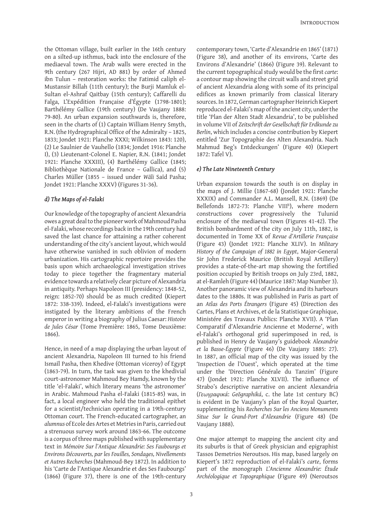the Ottoman village, built earlier in the 16th century on a silted-up isthmus, back into the enclosure of the mediaeval town. The Arab walls were erected in the 9th century (267 Hijri, AD 881) by order of Ahmed ibn Tulun – restoration works: the Fatimid caliph el-Mustansir Billah (11th century); the Burji Mamluk el-Sultan el-Ashraf Qaitbay (15th century); Caffarelli du Falga, L'Expédition Française d'Égypte (1798-1801); Barthélémy Gallice (19th century) (De Vaujany 1888: 9-80). An urban expansion southwards is, therefore, seen in the charts of (1) Captain William Henry Smyth, R.N. (the Hydrographical Office of the Admiralty – 1825, 1833: Jondet 1921: Planche XXXI: Wilkinson 1843: 120), (2) Le Saulnier de Vauhello (1834; Jondet 1916: Planche I), (3) Lieutenant-Colonel E. Napier, R.N. (1841; Jondet 1921: Planche XXXIII), (4) Barthélémy Gallice (1845; Bibliothèque Nationale de France – Gallica), and (5) Charles Müller (1855 - issued under *Wāli* Saīd Pasha: Jondet 1921: Planche XXXV) (Figures 31-36).

#### *d) The Maps of el-Falaki*

Our knowledge of the topography of ancient Alexandria owes a great deal to the pioneer work of Mahmoud Pasha el-Falaki, whose recordings back in the 19th century had saved the last chance for attaining a rather coherent understanding of the city's ancient layout, which would have otherwise vanished in such oblivion of modern urbanization. His cartographic repertoire provides the basis upon which archaeological investigation strives today to piece together the fragmentary material evidence towards a relatively clear picture of Alexandria in antiquity. Perhaps Napoleon III (presidency: 1848-52, reign: 1852-70) should be as much credited (Kiepert 1872: 338-339). Indeed, el-Falaki's investigations were instigated by the literary ambitions of the French emperor in writing a biography of Julius Caesar: *Histoire de Jules César* (Tome Première: 1865, Tome Deuxième: 1866).

Hence, in need of a map displaying the urban layout of ancient Alexandria, Napoleon III turned to his friend Ismail Pasha, then Khedive (Ottoman viceroy) of Egypt (1863-79). In turn, the task was given to the khedivial court-astronomer Mahmoud Bey Hamdy, known by the title 'el-Falaki', which literary means 'the astronomer' in Arabic. Mahmoud Pasha el-Falaki (1815-85) was, in fact, a local engineer who held the traditional epithet for a scientist/technician operating in a 19th-century Ottoman court. The French-educated cartographer, an *alumnus* of Ecole des Artes et Metries in Paris, carried out a strenuous survey work around 1863-66. The outcome is a corpus of three maps published with supplementary text in *Mémoire Sur l'Antique Alexandrie: Ses Faubourgs et Environs Découverts, par les Fouilles, Sondages, Nivellements et Autres Recherches* (Mahmoud-Bey 1872). In addition to his 'Carte de l'Antique Alexandrie et des Ses Faubourgs' (1866) (Figure 37), there is one of the 19th-century

contemporary town, 'Carte d'Alexandrie en 1865' (181) (Figure 38), and another of its environs, 'Carte des Environs d'Alexandrie' (1866) (Figure 39). Relevant to the current topographical study would be the first *carte*: a contour map showing the circuit walls and street grid of ancient Alexandria along with some of its principal edifices as known primarily from classical literary sources. In 1872, German cartographer Heinrich Kiepert reproduced el-Falaki's map of the ancient city, under the title 'Plan der Alten Stadt Alexandria', to be published in volume VII of *Zeitschrift der Gesellschaft für Erdkunde zu Berlin*, which includes a concise contribution by Kiepert entitled 'Zur Topographie des Alten Alexandria. Nach Mahmud Beg's Entdeckungen' (Figure 40) (Kiepert 1872: Tafel V).

#### *e) The Late Nineteenth Century*

Urban expansion towards the south is on display in the maps of J. Millie (1867-68) (Jondet 1921: Planche XXXIX) and Commander A.L. Mansell, R.N. (1869) (De Bellefonds 1872-73: Planche VIII<sup>b</sup>), where modern constructions cover progressively the Tulunid enclosure of the mediaeval town (Figures 41-42). The British bombardment of the city on July 11th, 1882, is documented in Tome XX of *Revue d'Artillerie Française* (Figure 43) (Jondet 1921: Planche XLIV). In *Military History of the Campaign of 1882 in Egypt*, Major-General Sir John Frederick Maurice (British Royal Artillery) provides a state-of-the-art map showing the fortified position occupied by British troops on July 23rd, 1882, at el-Ramleh (Figure 44) (Maurice 1887: Map Number 3). Another panoramic view of Alexandria and its harbours dates to the 1880s. It was published in Paris as part of an *Atlas des Ports Étrangers* (Figure 45) (Direction des Cartes, Plans et Archives, et de la Statistique Graphique, Ministére des Travaux Publics: Planche XVII). A 'Plan Comparatif d'Alexandrie Ancienne et Moderne', with el-Falaki's orthogonal grid superimposed in red, is published in Henry de Vaujany's guidebook *Alexandrie et la Basse-Égypte* (Figure 46) (De Vaujany 1885: 27). In 1887, an official map of the city was issued by the 'Inspection de l'Ouest', which operated at the time under the 'Direction Générale du Tanzim' (Figure 47) (Jondet 1921: Planche XLVII). The influence of Strabo's descriptive narrative on ancient Alexandria (*̅εۻܚ֩α֮ιౝ୶*: *\*eԧJraSKLNi*, c. the late 1st century BC) is evident in De Vaujany's plan of the Royal Quarter, supplementing his *Recherches Sur les Anciens Monuments Situe Sur le Grand-Port d'Alexandrie* (Figure 48) (De Vaujany 1888).

One major attempt to mapping the ancient city and its suburbs is that of Greek physician and epigraphist Tassos Demetrios Neroutsos. His map, based largely on Kiepert's 1872 reproduction of el-Falaki's *carte*, forms part of the monograph *L'Ancienne Alexandrie: Étude Archéologique et Topographique* (Figure 49) (Neroutsos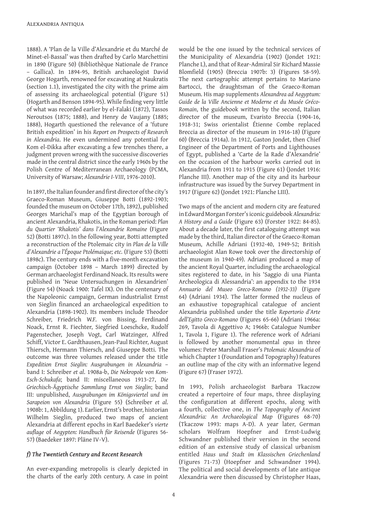1888). A 'Plan de la Ville d'Alexandrie et du Marché de Minet-el-Bassal' was then drafted by Carlo Marchettini in 1890 (Figure 50) (Bibliothèque Nationale de France - Gallica). In 1894-95, British archaeologist David George Hogarth, renowned for excavating at Naukratis (section 1.1), investigated the city with the prime aim of assessing its archaeological potential (Figure 51) (Hogarth and Benson 1894-95). While finding very little of what was recorded earlier by el-Falaki (182), Tassos Neroutsos (1875; 1888), and Henry de Vaujany (1885; 1888), Hogarth questioned the relevance of a 'future British expedition' in his *Report on Prospects of Research in Alexandria*. He even undermined any potential for Kom el-Dikka after excavating a few trenches there, a judgment proven wrong with the successive discoveries made in the central district since the early 1960s by the Polish Centre of Mediterranean Archaeology (PCMA, University of Warsaw; Alexandrie I-VIII, 1976-2010).

In 1897, the Italian founder and first director of the city's Graeco-Roman Museum, Giuseppe Botti (1892-1903 founded the museum on October 17th, 1892), published Georges Marichal's map of the Egyptian borough of ancient Alexandria, Rhakotis, in the Roman period: *Plan du Quartier 'Rhakotis' dans l'Alexandrie Romaine* (Figure 52) (Botti 1897c). In the following year, Botti attempted a reconstruction of the Ptolemaic city in *Plan de la Ville d'Alexandrie a l'Époque Ptolémaique; etc.* (Figure 53) (Botti 1898c). The century ends with a five-month excavation campaign (October 1898 – March 1899) directed by German archaeologist Ferdinand Noack. Its results were published in 'Neue Untersuchungen in Alexandrien' (Figure 54) (Noack 1900: Tafel IX). On the centenary of the Napoleonic campaign, German industrialist Ernst von Sieglin financed an archaeological expedition to Alexandria (1898-1902). Its members include Theodor Schreiber, Friedrich W.F. von Bissing, Ferdinand Noack, Ernst R. Fiechter, Siegfried Loeschcke, Rudolf Pagenstecher, Joseph Vogt, Carl Watzinger, Alfred Schiff, Victor E. Gardthausen, Jean-Paul Richter, August Thiersch, Hermann Thiersch, and Giuseppe Botti. The outcome was three volumes released under the title *Expedition Ernst Sieglin: Ausgrabungen in Alexandria* – band I: Schreiber *et al*. 1908a-b, *Die Nekropole von Kom-*Esch-Schukafa; band II: miscellaneous 1913-27, Die *Griechisch-Ägyptische Sammlung Ernst von Sieglin*; band ,,,: unpublished, *Ausgrabungen im Königsviertel und im Sarapeion von Alexandria* (Figure 55) (Schreiber *et al*. 1908b: 1, Abbildung 1). Earlier, Ernst's brother, historian Wilhelm Sieglin, produced two maps of ancient Alexandria at different epochs in Karl Baedeker's *vierte auflage* of *Aegypten: Handbuch für Reisende* (Figures 56- 57) (Baedeker 1897: Pläne IV-V).

#### *f) The Twentieth Century and Recent Research*

An ever-expanding metropolis is clearly depicted in the charts of the early 20th century. A case in point would be the one issued by the technical services of the Municipality of Alexandria (1902) (Jondet 1921: Planche L), and that of Rear-Admiral Sir Richard Massie Blomfield (1905) (Breccia 1907b: 3) (Figures 58-59). The next cartographic attempt pertains to Mariano Bartocci, the draughtsman of the Graeco-Roman Museum. His map supplements *Alexandrea ad Aegyptum: Guide de la Ville Ancienne et Moderne et du Musée Gréco-*Romain, the guidebook written by the second, Italian director of the museum, Evaristo Breccia (1904-16, 1918-31; Swiss orientalist Étienne Combe replaced Breccia as director of the museum in 1916-18) (Figure 60) (Breccia 1914a). In 1912, Gaston Jondet, then Chief Engineer of the Department of Ports and Lighthouses of Egypt, published a 'Carte de la Rade d'Alexandrie' on the occasion of the harbour works carried out in Alexandria from 1911 to 1915 (Figure 61) (Jondet 1916: Planche III). Another map of the city and its harbour infrastructure was issued by the Survey Department in 1917 (Figure 62) (Jondet 1921: Planche LIII).

Two maps of the ancient and modern city are featured in Edward Morgan Forster's iconic guidebook *Alexandria: A History and a Guide* (Figure 63) (Forster 1922: 84-85). About a decade later, the first cataloguing attempt was made by the third, Italian director of the Graeco-Roman Museum, Achille Adriani (1932-40, 1949-52; British archaeologist Alan Rowe took over the directorship of the museum in 1940-49). Adriani produced a map of the ancient Royal Quarter, including the archaeological sites registered to date, in his 'Saggio di una Pianta Archeologica di Alessandria': an appendix to the 1934 *Annuario del Museo Greco-Romano (1932-33)* (Figure 64) (Adriani 1934). The latter formed the nucleus of an exhaustive topographical catalogue of ancient Alexandria published under the title *Repertorio d'Arte dell'Egitto Greco-Romano* (Figures 65-66) (Adriani 1966a: 269, Tavola di Aggettivo A; 1966b: Catalogue Number 1, Tavola 1, Figure 1). The reference work of Adriani is followed by another monumental *opus* in three volumes: Peter Marshall Fraser's *Ptolemaic Alexandria* of which Chapter 1 (Foundation and Topography) features an outline map of the city with an informative legend (Figure 67) (Fraser 1972).

In 1993, Polish archaeologist Barbara Tkaczow created a repertoire of four maps, three displaying the configuration at different epochs, along with a fourth, collective one, in *The Topography of Ancient Alexandria: An Archaeological Map* (Figures 68-70) (Tkaczow 1993: maps A-D). A year later, German scholars Wolfram Hoepfner and Ernst-Ludwig Schwandner published their version in the second edition of an extensive study of classical urbanism entitled *Haus und Stadt im Klassischen Griechenland* (Figures 71-73) (Hoepfner and Schwandner 1994). The political and social developments of late antique Alexandria were then discussed by Christopher Haas,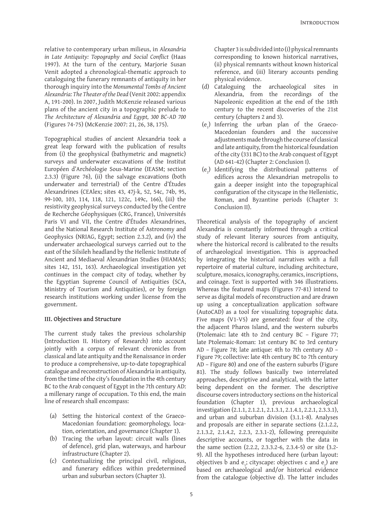relative to contemporary urban milieus, in *Alexandria in Late Antiquity: Topography and Social Conflict* (Haas 199). At the turn of the century, Marjorie Susan Venit adopted a chronological-thematic approach to cataloguing the funerary remnants of antiquity in her thorough inquiry into the *Monumental Tombs of Ancient Alexandria: The Theater of the Dead* (Venit 2002: appendix A, 191-200). In 2007, Judith McKenzie released various plans of the ancient city in a topographic prelude to *The Architecture of Alexandria and Egypt, 300 BC-AD 700* (Figures 74-75) (McKenzie 2007: 21, 26, 38, 175).

Topographical studies of ancient Alexandria took a great leap forward with the publication of results from (i) the geophysical (bathymetric and magnetic) surveys and underwater excavations of the Institut Européen d'Archéologie Sous-Marine (IEASM; section  $2.3.3)$  (Figure 76), (ii) the salvage excavations (both underwater and terrestrial) of the Centre d'Études Alexandrines (CEAlex; sites 43, 47j-k, 52, 54c, 74b, 95, 99-100, 103, 114, 118, 121, 122c, 149c, 166), (iii) the resistivity geophysical surveys conducted by the Centre de Recherche Géophysiques (CRG, France), Universités Paris VI and VII, the Centre d'Études Alexandrines, and the National Research Institute of Astronomy and Geophysics (NRIAG, Egypt; section 2.3.2), and (iv) the underwater archaeological surveys carried out to the east of the Silsileh headland by the Hellenic Institute of Ancient and Mediaeval Alexandrian Studies (HIAMAS; sites 142, 151, 163). Archaeological investigation yet continues in the compact city of today, whether by the Egyptian Supreme Council of Antiquities (SCA, Ministry of Tourism and Antiquities), or by foreign research institutions working under license from the government.

#### **III. Objectives and Structure**

The current study takes the previous scholarship (Introduction II. History of Research) into account jointly with a corpus of relevant chronicles from classical and late antiquity and the Renaissance in order to produce a comprehensive, up-to-date topographical catalogue and reconstruction of Alexandria in antiquity, from the time of the city's foundation in the 4th century BC to the Arab conquest of Egypt in the 7th century AD: a millenary range of occupation. To this end, the main line of research shall encompass:

- (a) Setting the historical context of the Graeco-Macedonian foundation: geomorphology, location, orientation, and governance (Chapter 1).
- (b) Tracing the urban layout: circuit walls (lines of defence), grid plan, waterways, and harbour infrastructure (Chapter 2).
- (c) Contextualizing the principal civil, religious, and funerary edifices within predetermined urban and suburban sectors (Chapter 3).

Chapter 3 is subdivided into (i) physical remnants corresponding to known historical narratives, (ii) physical remnants without known historical reference, and (iii) literary accounts pending physical evidence.

- (d) Cataloguing the archaeological sites in Alexandria, from the recordings of the Napoleonic expedition at the end of the 18th century to the recent discoveries of the 21st century (chapters 2 and 3).
- $(e_1)$  Inferring the urban plan of the Graeco-Macedonian founders and the successive adjustments made through the course of classical and late antiquity, from the historical foundation of the city (331 BC) to the Arab conquest of Egypt (AD 641-42) (Chapter 2: Conclusion I).
- $(e_2)$  Identifying the distributional patterns of edifices across the Alexandrian metropolis to gain a deeper insight into the topographical configuration of the cityscape in the Hellenistic, Roman, and Byzantine periods (Chapter 3: Conclusion II).

Theoretical analysis of the topography of ancient Alexandria is constantly informed through a critical study of relevant literary sources from antiquity, where the historical record is calibrated to the results of archaeological investigation. This is approached by integrating the historical narratives with a full repertoire of material culture, including architecture, sculpture, mosaics, iconography, ceramics, inscriptions, and coinage. Text is supported with 346 illustrations. Whereas the featured maps (Figures 77-81) intend to serve as digital models of reconstruction and are drawn up using a conceptualization application software (AutoCAD) as a tool for visualizing topographic data. Five maps (V1-V5) are generated: four of the city, the adjacent Pharos Island, and the western suburbs (Ptolemaic: late 4th to 2nd century BC – Figure 77; late Ptolemaic-Roman: 1st century BC to 3rd century AD – Figure 78; late antique: 4th to 7th century AD – Figure 79; collective: late 4th century BC to 7th century AD – Figure 80) and one of the eastern suburbs (Figure 81). The study follows basically two interrelated approaches, descriptive and analytical, with the latter being dependent on the former. The descriptive discourse covers introductory sections on the historical foundation (Chapter 1), previous archaeological investigation (2.1.1, 2.1.2.1, 2.1.3.1, 2.1.4.1, 2.2.1, 2.3.3.1), and urban and suburban division (3.1.1-8). Analyses and proposals are either in separate sections (2.1.2.2, 2.1.3.2, 2.1.4.2, 2.2.3, 2.3.1-2), following prerequisite descriptive accounts, or together with the data in the same section (2.2.2, 2.3.3.2-6, 2.3.4-5) or site (3.2- 9). All the hypotheses introduced here (urban layout: objectives b and  $e_1$ ; cityscape: objectives c and  $e_2$ ) are based on archaeological and/or historical evidence from the catalogue (objective d). The latter includes